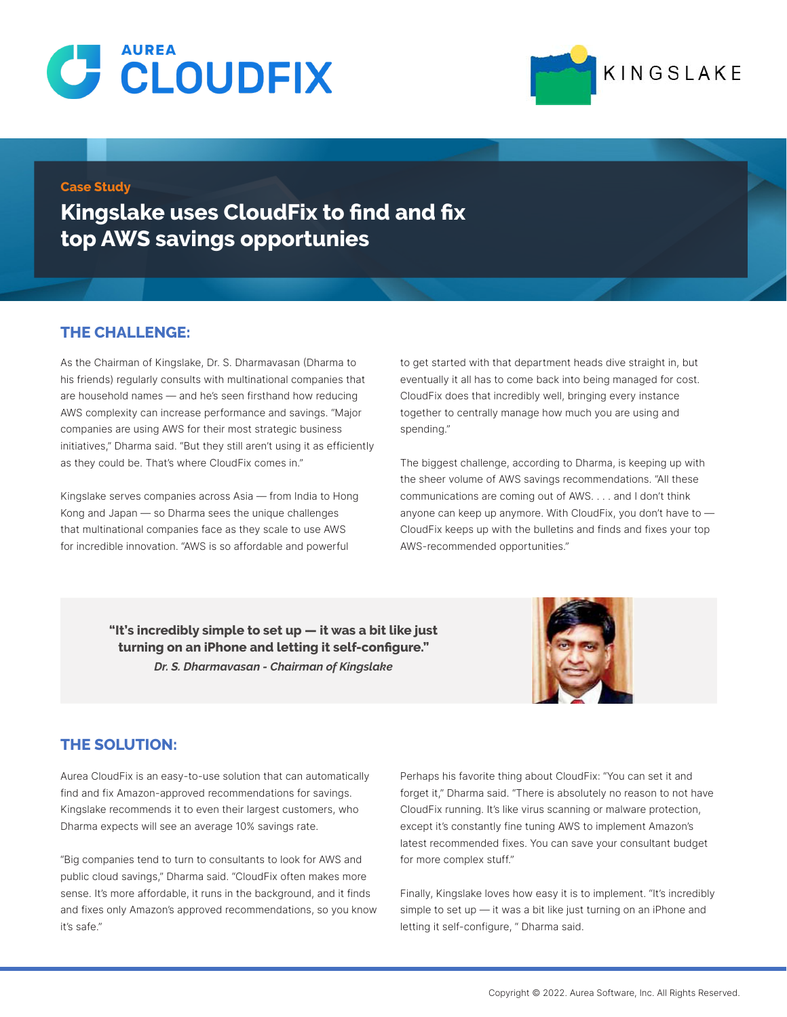



#### **Case Study**

**Kingslake uses CloudFix to find and fix top AWS savings opportunies**

### **THE CHALLENGE:**

As the Chairman of Kingslake, Dr. S. Dharmavasan (Dharma to his friends) regularly consults with multinational companies that are household names — and he's seen firsthand how reducing AWS complexity can increase performance and savings. "Major companies are using AWS for their most strategic business initiatives," Dharma said. "But they still aren't using it as efficiently as they could be. That's where CloudFix comes in."

Kingslake serves companies across Asia — from India to Hong Kong and Japan — so Dharma sees the unique challenges that multinational companies face as they scale to use AWS for incredible innovation. "AWS is so affordable and powerful

to get started with that department heads dive straight in, but eventually it all has to come back into being managed for cost. CloudFix does that incredibly well, bringing every instance together to centrally manage how much you are using and spending."

The biggest challenge, according to Dharma, is keeping up with the sheer volume of AWS savings recommendations. "All these communications are coming out of AWS. . . . and I don't think anyone can keep up anymore. With CloudFix, you don't have to — CloudFix keeps up with the bulletins and finds and fixes your top AWS-recommended opportunities."

**"It's incredibly simple to set up — it was a bit like just turning on an iPhone and letting it self-configure."**  *Dr. S. Dharmavasan - Chairman of Kingslake*



### **THE SOLUTION:**

Aurea CloudFix is an easy-to-use solution that can automatically find and fix Amazon-approved recommendations for savings. Kingslake recommends it to even their largest customers, who Dharma expects will see an average 10% savings rate.

"Big companies tend to turn to consultants to look for AWS and public cloud savings," Dharma said. "CloudFix often makes more sense. It's more affordable, it runs in the background, and it finds and fixes only Amazon's approved recommendations, so you know it's safe."

Perhaps his favorite thing about CloudFix: "You can set it and forget it," Dharma said. "There is absolutely no reason to not have CloudFix running. It's like virus scanning or malware protection, except it's constantly fine tuning AWS to implement Amazon's latest recommended fixes. You can save your consultant budget for more complex stuff."

Finally, Kingslake loves how easy it is to implement. "It's incredibly simple to set up — it was a bit like just turning on an iPhone and letting it self-configure, " Dharma said.